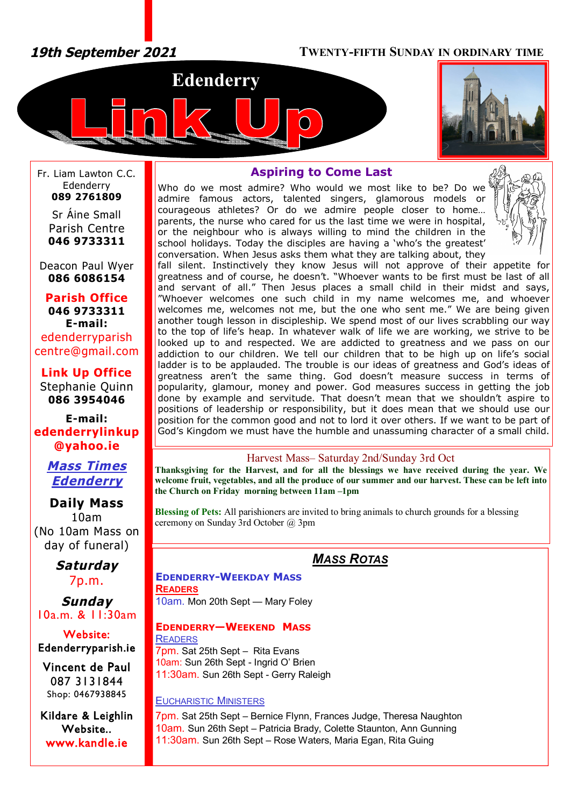*19th September 2021* **TWENTY-FIFTH SUNDAY IN ORDINARY TIME**





Fr. Liam Lawton C.C. Edenderry **089 2761809**

Sr Áine Small Parish Centre **046 9733311**

Deacon Paul Wyer **086 6086154**

**Parish Office 046 9733311 E-mail:** edenderryparish [centre@gmail.com](mailto:centre@gmail.com)

**Link Up Office** Stephanie Quinn **086 3954046**

**E-mail: edenderrylinkup [@yahoo.ie](mailto:@yahoo.ie)**

> *Mass Times Edenderry*

**Daily Mass** 10am (No 10am Mass on day of funeral)

> *Saturday* 7p.m.

*Sunday* 10a.m. & 11:30am

**Website: Edenderryparish.ie**

**Vincent de Paul**  087 3131844 Shop: 0467938845

**Kildare & Leighlin Website.. [www.kandle.ie](http://www.kandle.ie)** 

# **Aspiring to Come Last**

Who do we most admire? Who would we most like to be? Do we admire famous actors, talented singers, glamorous models or courageous athletes? Or do we admire people closer to home… parents, the nurse who cared for us the last time we were in hospital, or the neighbour who is always willing to mind the children in the school holidays. Today the disciples are having a 'who's the greatest' conversation. When Jesus asks them what they are talking about, they



fall silent. Instinctively they know Jesus will not approve of their appetite for greatness and of course, he doesn't. "Whoever wants to be first must be last of all and servant of all." Then Jesus places a small child in their midst and says, "Whoever welcomes one such child in my name welcomes me, and whoever welcomes me, welcomes not me, but the one who sent me." We are being given another tough lesson in discipleship. We spend most of our lives scrabbling our way to the top of life's heap. In whatever walk of life we are working, we strive to be looked up to and respected. We are addicted to greatness and we pass on our addiction to our children. We tell our children that to be high up on life's social ladder is to be applauded. The trouble is our ideas of greatness and God's ideas of greatness aren't the same thing. God doesn't measure success in terms of popularity, glamour, money and power. God measures success in getting the job done by example and servitude. That doesn't mean that we shouldn't aspire to positions of leadership or responsibility, but it does mean that we should use our position for the common good and not to lord it over others. If we want to be part of God's Kingdom we must have the humble and unassuming character of a small child.

## Harvest Mass– Saturday 2nd/Sunday 3rd Oct

**Thanksgiving for the Harvest, and for all the blessings we have received during the year. We welcome fruit, vegetables, and all the produce of our summer and our harvest. These can be left into the Church on Friday morning between 11am –1pm**

**Blessing of Pets:** All parishioners are invited to bring animals to church grounds for a blessing ceremony on Sunday 3rd October @ 3pm

# *MASS ROTAS*

**EDENDERRY-WEEKDAY MASS READERS** 10am. Mon 20th Sept — Mary Foley

#### **EDENDERRY—WEEKEND MASS**

**READERS** 7pm. Sat 25th Sept – Rita Evans 10am: Sun 26th Sept - Ingrid O' Brien 11:30am. Sun 26th Sept - Gerry Raleigh

#### EUCHARISTIC MINISTERS

7pm. Sat 25th Sept – Bernice Flynn, Frances Judge, Theresa Naughton 10am. Sun 26th Sept – Patricia Brady, Colette Staunton, Ann Gunning 11:30am. Sun 26th Sept – Rose Waters, Maria Egan, Rita Guing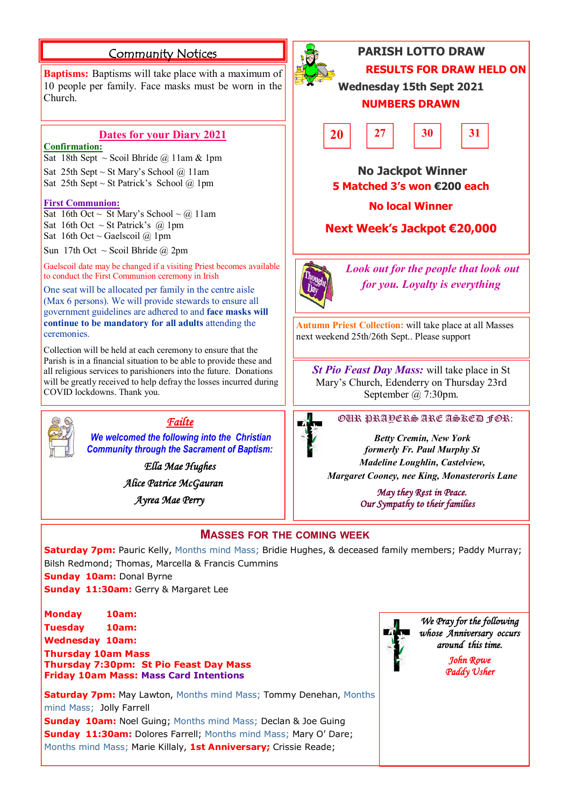# **Community Notices**

**Baptisms:** Baptisms will take place with a maximum of 10 people per family. Face masks must be worn in the Church.

#### **Dates for your Diary 2021**

#### **Confirmation:**

Sat 18th Sept ~ Scoil Bhríde @ 11am & 1pm

Sat 25th Sept ~ St Mary's School  $\omega$  11am Sat 25th Sept ~ St Patrick's School  $\omega$  1pm

#### **First Communion:**

Sat 16th Oct ~ St Mary's School ~ @ 11am Sat 16th Oct  $\sim$  St Patrick's @ 1pm Sat 16th Oct ~ Gaelscoil  $@$  1pm

Sun 17th Oct ~ Scoil Bhríde @ 2pm

Gaelscoil date may be changed if a visiting Priest becomes available to conduct the First Communion ceremony in Irish

One seat will be allocated per family in the centre aisle (Max 6 persons). We will provide stewards to ensure all government guidelines are adhered to and **face masks will continue to be mandatory for all adults** attending the **ceremonies** 

Collection will be held at each ceremony to ensure that the Parish is in a financial situation to be able to provide these and all religious services to parishioners into the future. Donations will be greatly received to help defray the losses incurred during COVID lockdowns. Thank you.



# *Failte*

*We welcomed the following into the Christian Community through the Sacrament of Baptism:*

> *Ella Mae Hughes Alice Patrice McGauran*

 *Ayrea Mae Perry* 



# **PARISH LOTTO DRAW RESULTS FOR DRAW HELD ON**

**Wednesday 15th Sept 2021 NUMBERS DRAWN**



# **No Jackpot Winner 5 Matched 3's won €200 each**

## **No local Winner**

**Next Week's Jackpot €20,000**



*Look out for the people that look out for you. Loyalty is everything*

**Autumn Priest Collection:** will take place at all Masses next weekend 25th/26th Sept.. Please support

*St Pio Feast Day Mass:* will take place in St Mary's Church, Edenderry on Thursday 23rd September @ 7:30pm.



#### OUR PRAYERS ARE ASKED FOR:

*Betty Cremin, New York formerly Fr. Paul Murphy St Madeline Loughlin, Castelview,*

*Margaret Cooney, nee King, Monasteroris Lane*

 *May they Rest in Peace. Our Sympathy to their families* 

# **MASSES FOR THE COMING WEEK**

**Saturday 7pm:** Pauric Kelly, Months mind Mass; Bridie Hughes, & deceased family members; Paddy Murray; Bilsh Redmond; Thomas, Marcella & Francis Cummins **Sunday 10am:** Donal Byrne

**Sunday 11:30am:** Gerry & Margaret Lee

**Monday 10am: Tuesday 10am: Wednesday 10am: Thursday 10am Mass Thursday 7:30pm: St Pio Feast Day Mass Friday 10am Mass: Mass Card Intentions**



*We Pray for the following whose Anniversary occurs around this time.* 

> *John Rowe Paddy Usher*

**Saturday 7pm:** May Lawton, Months mind Mass; Tommy Denehan, Months mind Mass; Jolly Farrell

**Sunday 10am:** Noel Guing; Months mind Mass; Declan & Joe Guing **Sunday 11:30am: Dolores Farrell; Months mind Mass; Mary O' Dare;** Months mind Mass; Marie Killaly, **1st Anniversary;** Crissie Reade;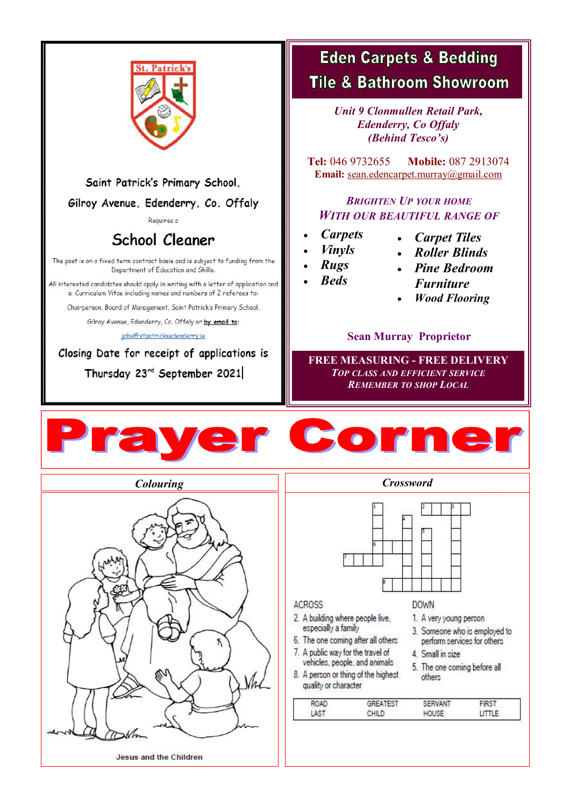

# Saint Patrick's Primary School,

# Gilroy Avenue, Edenderry, Co. Offaly

Requires a

# **School Cleaner**

The post is on a fixed term contract basis and is subject to funding from the Department of Education and Skills.

All interested candidates should apply in writing with a letter of application and a Curriculum Vitae including names and numbers of 2 referees to:

Chairperson, Board of Management, Saint Patrick's Primary School,

Gilroy Avenue, Edenderry, Co. Offaly or by email to:

jobs@stpatricksedenderry.ie

# Closing Date for receipt of applications is

Thursday 23rd September 2021

# **Eden Carpets & Bedding Tile & Bathroom Showroom**

*Unit 9 Clonmullen Retail Park, Edenderry, Co Offaly (Behind Tesco's)*

**Tel:** 046 9732655 **Mobile:** 087 2913074 **Email:** [sean.edencarpet.murray@gmail.com](mailto:sean.edencarpet.murray@gmail.com)

# *BRIGHTEN UP YOUR HOME WITH OUR BEAUTIFUL RANGE OF*

- *Carpets*
- *Carpet Tiles*
- *Vinyls*
- *Roller Blinds*
- *Rugs*
- *Beds*
- *Pine Bedroom Furniture*
- *Wood Flooring*

# **Sean Murray Proprietor**

**FREE MEASURING - FREE DELIVERY** *TOP CLASS AND EFFICIENT SERVICE REMEMBER TO SHOP LOCAL*







## **ACROSS**

- 2. A building where people live,
- especially a family 6. The one coming after all others
- 7. A public way for the travel of
	- vehicles, people, and animals
- 5. The one coming before all 8. A person or thing of the highest quality or character

| <b>ROAD</b>            | 1ES 1 | "VAN. |  |
|------------------------|-------|-------|--|
| ACT<br><b>STANDARD</b> | ш     |       |  |

**DOWN** 

1. A very young person

4. Small in size

others

3. Someone who is employed to

perform services for others